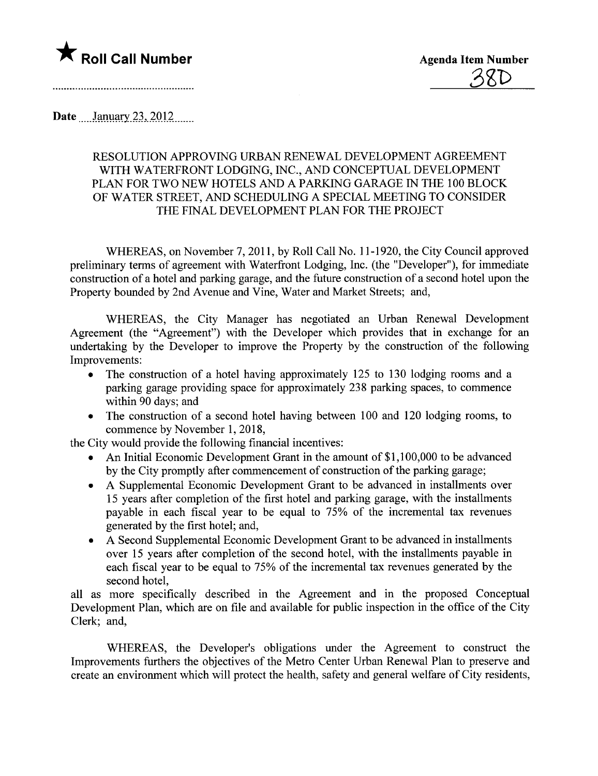

Date January 23, 2012

## RESOLUTION APPROVING URBAN RENEWAL DEVELOPMENT AGREEMENT WITH WATERFRONT LODGING, INC., AND CONCEPTUAL DEVELOPMENT PLAN FOR TWO NEW HOTELS AND A PARKING GARAGE IN THE 100 BLOCK OF WATER STREET, AND SCHEDULING A SPECIAL MEETING TO CONSIDER THE FINAL DEVELOPMENT PLAN FOR THE PROJECT

WHEREAS, on November 7,2011, by Roll Call No. 11-1920, the City Council approved preliminary terms of agreement with Waterfront Lodging, Inc. (the "Developer"), for immediate construction of a hotel and parking garage, and the future construction of a second hotel upon the Property bounded by 2nd Avenue and Vine, Water and Market Streets; and,

WHEREAS, the City Manager has negotiated an Urban Renewal Development Agreement (the "Agreement") with the Developer which provides that in exchange for an undertaking by the Developer to improve the Property by the construction of the following Improvements:

- . The construction of a hotel having approximately 125 to 130 lodging rooms and a parking garage providing space for approximately 238 parking spaces, to commence within 90 days; and
- . The construction of a second hotel having between 100 and 120 lodging rooms, to commence by November 1, 2018,

the City would provide the following financial incentives:

- . An Initial Economic Development Grant in the amount of \$1,100,000 to be advanced by the City promptly after commencement of construction of the parking garage;
- . A Supplemental Economic Development Grant to be advanced in installments over 15 years after completion of the first hotel and parking garage, with the installments payable in each fiscal year to be equal to 75% of the incremental tax revenues generated by the first hotel; and,
- . A Second Supplemental Economic Development Grant to be advanced in installments over 15 years after completion of the second hotel, with the installments payable in each fiscal year to be equal to 75% of the incremental tax revenues generated by the second hotel,

all as more specifically described in the Agreement and in the proposed Conceptual Development Plan, which are on file and available for public inspection in the office of the City Clerk; and,

WHEREAS, the Developer's obligations under the Agreement to construct the Improvements furthers the objectives of the Metro Center Urban Renewal Plan to preserve and create an environment which will protect the health, safety and general welfare of City residents,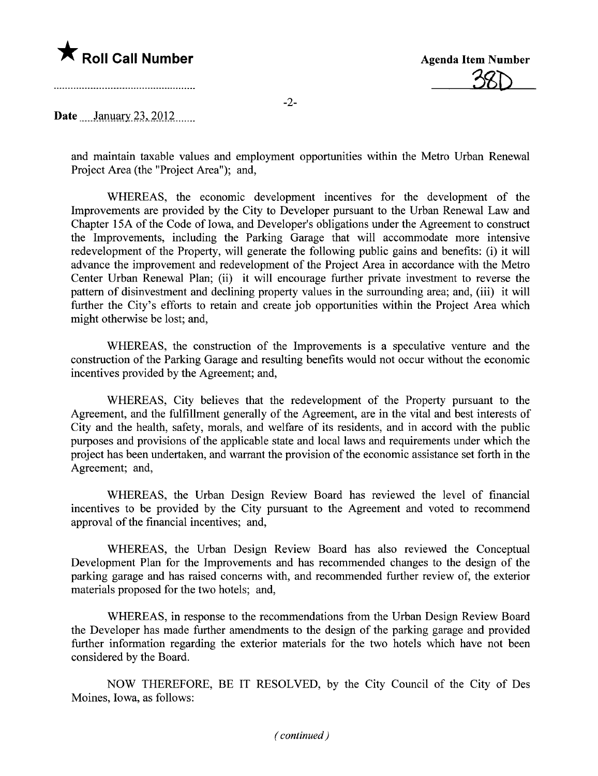



-2-

Date January 23, 2012

and maintain taxable values and employment opportunities within the Metro Urban Renewal Project Area (the "Project Area"); and,

WHEREAS, the economic development incentives for the development of the Improvements are provided by the City to Developer pursuant to the Urban Renewal Law and Chapter 15A of the Code of Iowa, and Developer's obligations under the Agreement to construct the Improvements, including the Parking Garage that wil accommodate more intensive redevelopment of the Property, will generate the following public gains and benefits: (i) it will advance the improvement and redevelopment of the Project Area in accordance with the Metro Center Urban Renewal Plan; (ii) it will encourage further private investment to reverse the pattern of disinvestment and declining property values in the surounding area; and, (iii) it wil further the City's efforts to retain and create job opportunities within the Project Area which might otherwise be lost; and,

WHEREAS, the construction of the Improvements is a speculative venture and the construction of the Parking Garage and resulting benefits would not occur without the economic incentives provided by the Agreement; and,

WHEREAS, City believes that the redevelopment of the Property pursuant to the Agreement, and the fulfillment generally of the Agreement, are in the vital and best interests of City and the health, safety, morals, and welfare of its residents, and in accord with the public purposes and provisions of the applicable state and local laws and requirements under which the project has been undertaken, and warrant the provision of the economic assistance set forth in the Agreement; and,

WHEREAS, the Urban Design Review Board has reviewed the level of financial incentives to be provided by the City pursuant to the Agreement and voted to recommend approval of the financial incentives; and,

WHEREAS, the Urban Design Review Board has also reviewed the Conceptual Development Plan for the Improvements and has recommended changes to the design of the parking garage and has raised concerns with, and recommended further review of, the exterior materials proposed for the two hotels; and,

WHEREAS, in response to the recommendations from the Urban Design Review Board the Developer has made further amendments to the design of the parking garage and provided further information regarding the exterior materials for the two hotels which have not been considered by the Board.

NOW THEREFORE, BE IT RESOLVED, by the City Council of the City of Des Moines, Iowa, as follows: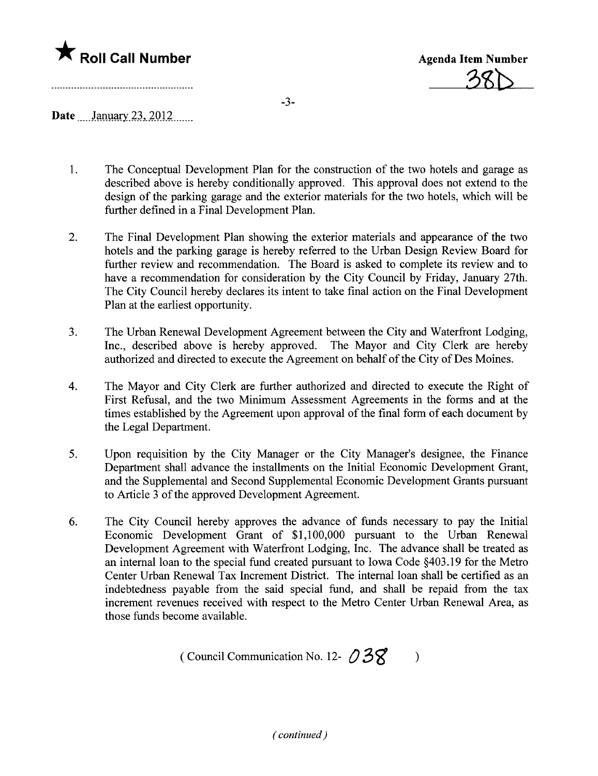



-3-

## Date  $January~23,2012$

- 1. The Conceptual Development Plan for the construction of the two hotels and garage as described above is hereby conditionally approved. This approval does not extend to the design of the parking garage and the exterior materials for the two hotels, which wil be further defined in a Final Development Plan.
- 2. The Final Development Plan showing the exterior materials and appearance of the two hotels and the parking garage is hereby referred to the Urban Design Review Board for further review and recommendation. The Board is asked to complete its review and to have a recommendation for consideration by the City Council by Friday, January 27th. The City Council hereby declares its intent to take final action on the Final Development Plan at the earliest opportunity.
- 3. The Urban Renewal Development Agreement between the City and Waterfront Lodging, Inc., described above is hereby approved. The Mayor and City Clerk are hereby authorized and directed to execute the Agreement on behalf of the City of Des Moines.
- 4. The Mayor and City Clerk are further authorized and directed to execute the Right of First Refusal, and the two Minimum Assessment Agreements in the forms and at the times established by the Agreement upon approval of the final form of each document by the Legal Department.
- 5. Upon requisition by the City Manager or the City Manager's designee, the Finance Department shall advance the installments on the Initial Economic Development Grant, and the Supplemental and Second Supplemental Economic Development Grants pursuant to Aricle 3 of the approved Development Agreement.
- 6. The City Council hereby approves the advance of fuds necessary to pay the Initial Economic Development Grant of \$1,100,000 pursuant to the Urban Renewal Development Agreement with Waterfront Lodging, Inc. The advance shall be treated as an internal loan to the special fud created pursuant to Iowa Code §403 .19 for the Metro Center Urban Renewal Tax Increment District. The internal loan shall be certified as an indebtedness payable from the said special fund, and shall be repaid from the tax increment revenues received with respect to the Metro Center Urban Renewal Area, as those funds become available.

$$
(\text{ Council Communication No. 12-} \oslash 38 \rightarrow)
$$